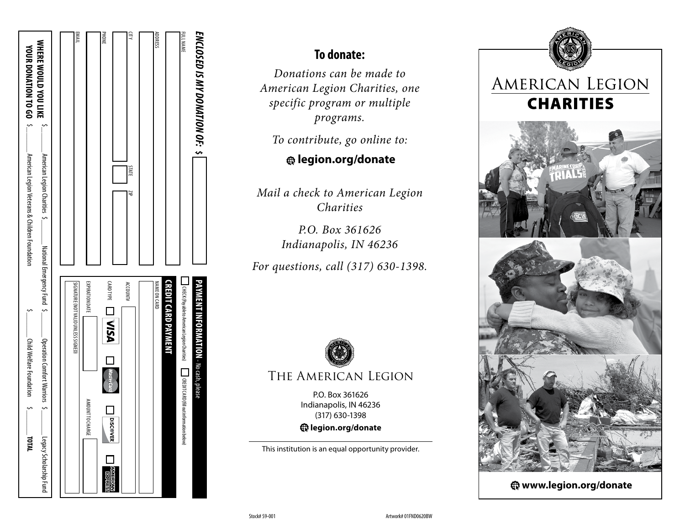| ENCLOSED IS MY DONATION OF: \$   |                                                | PAYMENT INFORMATION - No cash, please                                                   |                            |
|----------------------------------|------------------------------------------------|-----------------------------------------------------------------------------------------|----------------------------|
| <b>FULL NAME</b>                 |                                                | UHECK (Payable to American Legion Charities) [ CREDIT CARD (fill out information below) |                            |
|                                  |                                                | CREDIT CARD PAYMENT                                                                     |                            |
| <b>ADDRESS</b>                   |                                                | <b>NAME ON CARD</b>                                                                     |                            |
|                                  |                                                |                                                                                         |                            |
| <b>STTY</b>                      | STATE<br>₹                                     | ACCOUNT#                                                                                |                            |
| PHONE                            |                                                | <b>CARDIYPE</b><br><b>DIVEA</b><br><b>DISCOVER</b>                                      | <b>AMERICAN</b><br>5534858 |
|                                  |                                                | EXPIRATION DATE<br>AMOUNT TO CHARGE                                                     |                            |
| EMAIL                            |                                                | SIGNATURE (NOT VALID UNLESS SIGNED)                                                     |                            |
|                                  |                                                |                                                                                         |                            |
| <b>WHERE WOULD YOU LIKE</b>      | American Legion Charities \$.                  | National Emergency Fund \$<br>. Operation Comfort Warriors $\frac{5}{5}$                | Legacy Scholarship Fund    |
| YOUR DONATION TO GO <sup>3</sup> | American Legion Veterans & Children Foundation | Unital Metare Loudation $\sim$                                                          | <b>IATAL</b>               |
|                                  |                                                |                                                                                         |                            |

## **To donate:**

*Donations can be made to American Legion Charities, one specific program or multiple programs.* 

*To contribute, go online to:*

**[legion.org/donate](http://www.legion.org/donate)**

*Mail a check to American Legion Charities*

> *P.O. Box 361626 Indianapolis, IN 46236*

*For questions, call (317) 630-1398.*



P.O. Box 361626 Indianapolis, IN 46236 (317) 630-1398 **legion.org/donate**

This institution is an equal opportunity provider.



**www.legion.org/donate**